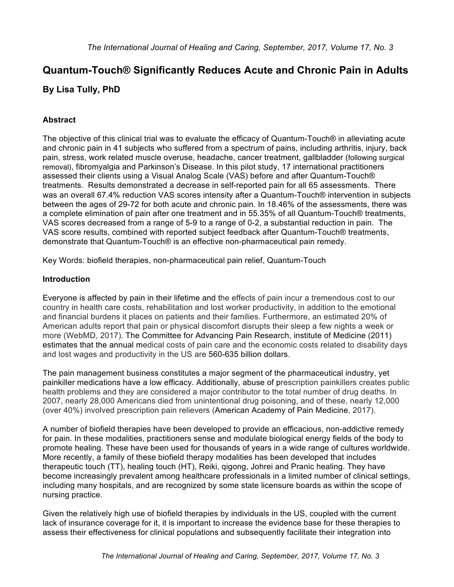# **Quantum-Touch® Significantly Reduces Acute and Chronic Pain in Adults By Lisa Tully, PhD**

# **Abstract**

The objective of this clinical trial was to evaluate the efficacy of Quantum-Touch® in alleviating acute and chronic pain in 41 subjects who suffered from a spectrum of pains, including arthritis, injury, back pain, stress, work related muscle overuse, headache, cancer treatment, gallbladder (following surgical removal), fibromyalgia and Parkinson's Disease. In this pilot study, 17 international practitioners assessed their clients using a Visual Analog Scale (VAS) before and after Quantum-Touch® treatments. Results demonstrated a decrease in self-reported pain for all 65 assessments. There was an overall 67.4% reduction VAS scores intensity after a Quantum-Touch® intervention in subjects between the ages of 29-72 for both acute and chronic pain. In 18.46% of the assessments, there was a complete elimination of pain after one treatment and in 55.35% of all Quantum-Touch® treatments, VAS scores decreased from a range of 5-9 to a range of 0-2, a substantial reduction in pain. The VAS score results, combined with reported subject feedback after Quantum-Touch® treatments, demonstrate that Quantum-Touch® is an effective non-pharmaceutical pain remedy.

Key Words: biofield therapies, non-pharmaceutical pain relief, Quantum-Touch

# **Introduction**

Everyone is affected by pain in their lifetime and the effects of pain incur a tremendous cost to our country in health care costs, rehabilitation and lost worker productivity, in addition to the emotional and financial burdens it places on patients and their families. Furthermore, an estimated 20% of American adults report that pain or physical discomfort disrupts their sleep a few nights a week or more (WebMD, 2017). The Committee for Advancing Pain Research, institute of Medicine (2011) estimates that the annual medical costs of pain care and the economic costs related to disability days and lost wages and productivity in the US are 560-635 billion dollars.

The pain management business constitutes a major segment of the pharmaceutical industry, yet painkiller medications have a low efficacy. Additionally, abuse of prescription painkillers creates public health problems and they are considered a major contributor to the total number of drug deaths. In 2007, nearly 28,000 Americans died from unintentional drug poisoning, and of these, nearly 12,000 (over 40%) involved prescription pain relievers (American Academy of Pain Medicine, 2017).

A number of biofield therapies have been developed to provide an efficacious, non-addictive remedy for pain. In these modalities, practitioners sense and modulate biological energy fields of the body to promote healing. These have been used for thousands of years in a wide range of cultures worldwide. More recently, a family of these biofield therapy modalities has been developed that includes therapeutic touch (TT), healing touch (HT), Reiki, qigong, Johrei and Pranic healing. They have become increasingly prevalent among healthcare professionals in a limited number of clinical settings, including many hospitals, and are recognized by some state licensure boards as within the scope of nursing practice.

Given the relatively high use of biofield therapies by individuals in the US, coupled with the current lack of insurance coverage for it, it is important to increase the evidence base for these therapies to assess their effectiveness for clinical populations and subsequently facilitate their integration into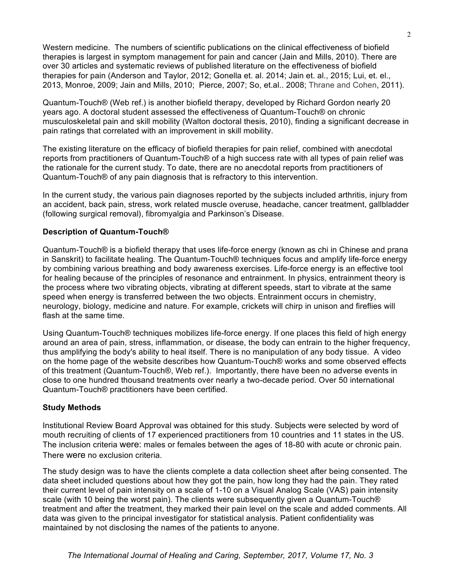Western medicine. The numbers of scientific publications on the clinical effectiveness of biofield therapies is largest in symptom management for pain and cancer (Jain and Mills, 2010). There are over 30 articles and systematic reviews of published literature on the effectiveness of biofield therapies for pain (Anderson and Taylor, 2012; Gonella et. al. 2014; Jain et. al., 2015; Lui, et. el., 2013, Monroe, 2009; Jain and Mills, 2010; Pierce, 2007; So, et.al.. 2008; Thrane and Cohen, 2011).

Quantum-Touch® (Web ref.) is another biofield therapy, developed by Richard Gordon nearly 20 years ago. A doctoral student assessed the effectiveness of Quantum-Touch® on chronic musculoskeletal pain and skill mobility (Walton doctoral thesis, 2010), finding a significant decrease in pain ratings that correlated with an improvement in skill mobility.

The existing literature on the efficacy of biofield therapies for pain relief, combined with anecdotal reports from practitioners of Quantum-Touch® of a high success rate with all types of pain relief was the rationale for the current study. To date, there are no anecdotal reports from practitioners of Quantum-Touch® of any pain diagnosis that is refractory to this intervention.

In the current study, the various pain diagnoses reported by the subjects included arthritis, injury from an accident, back pain, stress, work related muscle overuse, headache, cancer treatment, gallbladder (following surgical removal), fibromyalgia and Parkinson's Disease.

#### **Description of Quantum-Touch®**

Quantum-Touch® is a biofield therapy that uses life-force energy (known as chi in Chinese and prana in Sanskrit) to facilitate healing. The Quantum-Touch® techniques focus and amplify life-force energy by combining various breathing and body awareness exercises. Life-force energy is an effective tool for healing because of the principles of resonance and entrainment. In physics, entrainment theory is the process where two vibrating objects, vibrating at different speeds, start to vibrate at the same speed when energy is transferred between the two objects. Entrainment occurs in chemistry, neurology, biology, medicine and nature. For example, crickets will chirp in unison and fireflies will flash at the same time.

Using Quantum-Touch® techniques mobilizes life-force energy. If one places this field of high energy around an area of pain, stress, inflammation, or disease, the body can entrain to the higher frequency, thus amplifying the body's ability to heal itself. There is no manipulation of any body tissue. A video on the home page of the website describes how Quantum-Touch® works and some observed effects of this treatment (Quantum-Touch®, Web ref.). Importantly, there have been no adverse events in close to one hundred thousand treatments over nearly a two-decade period. Over 50 international Quantum-Touch® practitioners have been certified.

#### **Study Methods**

Institutional Review Board Approval was obtained for this study. Subjects were selected by word of mouth recruiting of clients of 17 experienced practitioners from 10 countries and 11 states in the US. The inclusion criteria were: males or females between the ages of 18-80 with acute or chronic pain. There were no exclusion criteria.

The study design was to have the clients complete a data collection sheet after being consented. The data sheet included questions about how they got the pain, how long they had the pain. They rated their current level of pain intensity on a scale of 1-10 on a Visual Analog Scale (VAS) pain intensity scale (with 10 being the worst pain). The clients were subsequently given a Quantum-Touch® treatment and after the treatment, they marked their pain level on the scale and added comments. All data was given to the principal investigator for statistical analysis. Patient confidentiality was maintained by not disclosing the names of the patients to anyone.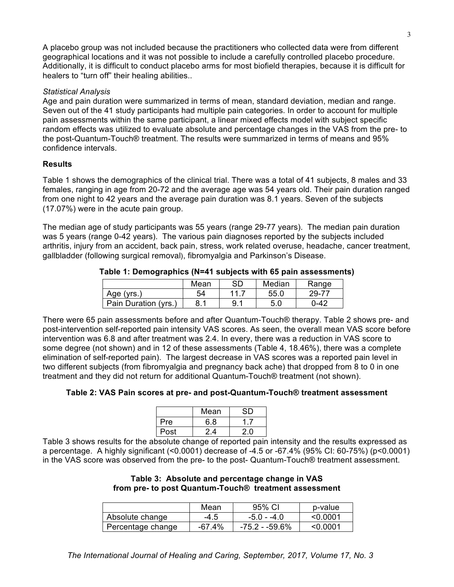A placebo group was not included because the practitioners who collected data were from different geographical locations and it was not possible to include a carefully controlled placebo procedure. Additionally, it is difficult to conduct placebo arms for most biofield therapies, because it is difficult for healers to "turn off" their healing abilities..

## *Statistical Analysis*

Age and pain duration were summarized in terms of mean, standard deviation, median and range. Seven out of the 41 study participants had multiple pain categories. In order to account for multiple pain assessments within the same participant, a linear mixed effects model with subject specific random effects was utilized to evaluate absolute and percentage changes in the VAS from the pre- to the post-Quantum-Touch® treatment. The results were summarized in terms of means and 95% confidence intervals.

# **Results**

Table 1 shows the demographics of the clinical trial. There was a total of 41 subjects, 8 males and 33 females, ranging in age from 20-72 and the average age was 54 years old. Their pain duration ranged from one night to 42 years and the average pain duration was 8.1 years. Seven of the subjects (17.07%) were in the acute pain group.

The median age of study participants was 55 years (range 29-77 years). The median pain duration was 5 years (range 0-42 years). The various pain diagnoses reported by the subjects included arthritis, injury from an accident, back pain, stress, work related overuse, headache, cancer treatment, gallbladder (following surgical removal), fibromyalgia and Parkinson's Disease.

|                      | Mean | SD      | Median | Range    |
|----------------------|------|---------|--------|----------|
| Age (yrs.)           | 54   | 11<br>. | 55.0   | 29-77    |
| Pain Duration (yrs.) | 8. . |         | 5.0    | $0 - 42$ |

There were 65 pain assessments before and after Quantum-Touch® therapy. Table 2 shows pre- and post-intervention self-reported pain intensity VAS scores. As seen, the overall mean VAS score before intervention was 6.8 and after treatment was 2.4. In every, there was a reduction in VAS score to some degree (not shown) and in 12 of these assessments (Table 4, 18.46%), there was a complete elimination of self-reported pain). The largest decrease in VAS scores was a reported pain level in two different subjects (from fibromyalgia and pregnancy back ache) that dropped from 8 to 0 in one treatment and they did not return for additional Quantum-Touch® treatment (not shown).

## **Table 2: VAS Pain scores at pre- and post-Quantum-Touch® treatment assessment**

|            | Mean |  |
|------------|------|--|
| <b>Pre</b> | 6.8  |  |
| Post       | 24   |  |

Table 3 shows results for the absolute change of reported pain intensity and the results expressed as a percentage. A highly significant (<0.0001) decrease of -4.5 or -67.4% (95% CI: 60-75%) (p<0.0001) in the VAS score was observed from the pre- to the post- Quantum-Touch® treatment assessment.

#### **Table 3: Absolute and percentage change in VAS from pre- to post Quantum-Touch® treatment assessment**

|                   | Mean   | 95% CI         | p-value  |
|-------------------|--------|----------------|----------|
| Absolute change   | $-4.5$ | $-5.0 - -4.0$  | < 0.0001 |
| Percentage change | -67.4% | -75.2 - -59.6% | < 0.0001 |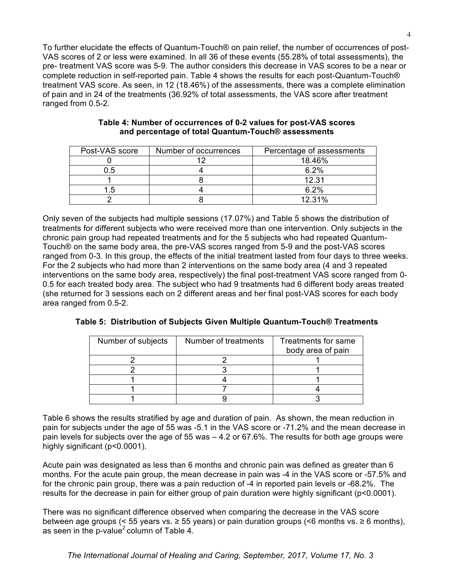To further elucidate the effects of Quantum-Touch® on pain relief, the number of occurrences of post-VAS scores of 2 or less were examined. In all 36 of these events (55.28% of total assessments), the pre- treatment VAS score was 5-9. The author considers this decrease in VAS scores to be a near or complete reduction in self-reported pain. Table 4 shows the results for each post-Quantum-Touch® treatment VAS score. As seen, in 12 (18.46%) of the assessments, there was a complete elimination of pain and in 24 of the treatments (36.92% of total assessments, the VAS score after treatment ranged from 0.5-2.

| Post-VAS score | Number of occurrences | Percentage of assessments |
|----------------|-----------------------|---------------------------|
|                |                       | 18.46%                    |
| ל.ו            |                       | 6.2%                      |
|                |                       | 12.31                     |
|                |                       | 6.2%                      |
|                |                       | 12 31%                    |

#### **Table 4: Number of occurrences of 0-2 values for post-VAS scores and percentage of total Quantum-Touch® assessments**

Only seven of the subjects had multiple sessions (17.07%) and Table 5 shows the distribution of treatments for different subjects who were received more than one intervention. Only subjects in the chronic pain group had repeated treatments and for the 5 subjects who had repeated Quantum-Touch® on the same body area, the pre-VAS scores ranged from 5-9 and the post-VAS scores ranged from 0-3. In this group, the effects of the initial treatment lasted from four days to three weeks. For the 2 subjects who had more than 2 interventions on the same body area (4 and 3 repeated interventions on the same body area, respectively) the final post-treatment VAS score ranged from 0- 0.5 for each treated body area. The subject who had 9 treatments had 6 different body areas treated (she returned for 3 sessions each on 2 different areas and her final post-VAS scores for each body area ranged from 0.5-2.

|  |  |  |  | Table 5: Distribution of Subjects Given Multiple Quantum-Touch® Treatments |  |
|--|--|--|--|----------------------------------------------------------------------------|--|
|--|--|--|--|----------------------------------------------------------------------------|--|

| Number of subjects | Number of treatments | Treatments for same |
|--------------------|----------------------|---------------------|
|                    |                      | body area of pain   |
|                    |                      |                     |
|                    |                      |                     |
|                    |                      |                     |
|                    |                      |                     |
|                    |                      |                     |
|                    |                      |                     |
|                    |                      |                     |

Table 6 shows the results stratified by age and duration of pain. As shown, the mean reduction in pain for subjects under the age of 55 was -5.1 in the VAS score or -71.2% and the mean decrease in pain levels for subjects over the age of 55 was – 4.2 or 67.6%. The results for both age groups were highly significant (p<0.0001).

Acute pain was designated as less than 6 months and chronic pain was defined as greater than 6 months. For the acute pain group, the mean decrease in pain was -4 in the VAS score or -57.5% and for the chronic pain group, there was a pain reduction of -4 in reported pain levels or -68.2%. The results for the decrease in pain for either group of pain duration were highly significant (p<0.0001).

There was no significant difference observed when comparing the decrease in the VAS score between age groups (< 55 years vs. ≥ 55 years) or pain duration groups (<6 months vs. ≥ 6 months), as seen in the p-value<sup>2</sup> column of Table 4.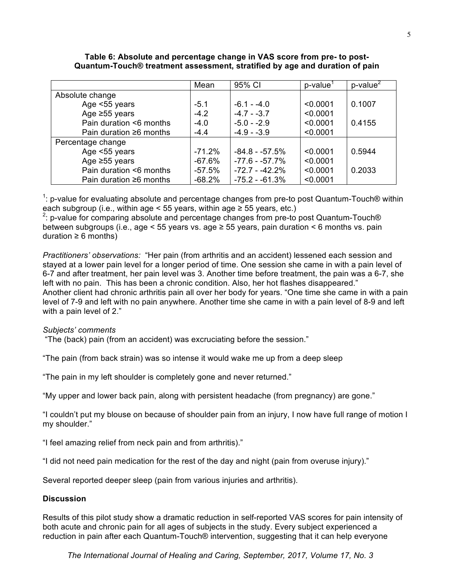|                               | Mean      | 95% CI           | $p$ -value <sup>1</sup> | $p$ -value $\frac{2}{3}$ |
|-------------------------------|-----------|------------------|-------------------------|--------------------------|
| Absolute change               |           |                  |                         |                          |
| Age <55 years                 | $-5.1$    | $-6.1 - -4.0$    | < 0.0001                | 0.1007                   |
| Age $\geq 55$ years           | $-4.2$    | $-4.7 - -3.7$    | < 0.0001                |                          |
| Pain duration <6 months       | $-4.0$    | $-5.0 - -2.9$    | < 0.0001                | 0.4155                   |
| Pain duration $\geq 6$ months | $-4.4$    | $-4.9 - -3.9$    | < 0.0001                |                          |
| Percentage change             |           |                  |                         |                          |
| Age <55 years                 | $-71.2\%$ | $-84.8 - -57.5%$ | < 0.0001                | 0.5944                   |
| Age $\geq 55$ years           | $-67.6%$  | $-77.6 - -57.7%$ | < 0.0001                |                          |
| Pain duration <6 months       | $-57.5%$  | $-72.7 - -42.2%$ | < 0.0001                | 0.2033                   |
| Pain duration $\geq 6$ months | $-68.2%$  | $-75.2 - 61.3%$  | < 0.0001                |                          |

#### **Table 6: Absolute and percentage change in VAS score from pre- to post-Quantum-Touch® treatment assessment, stratified by age and duration of pain**

<sup>1</sup>: p-value for evaluating absolute and percentage changes from pre-to post Quantum-Touch® within each subgroup (i.e., within age < 55 years, within age  $\ge$  55 years, etc.)

 $2$ : p-value for comparing absolute and percentage changes from pre-to post Quantum-Touch® between subgroups (i.e., age < 55 years vs. age ≥ 55 years, pain duration < 6 months vs. pain duration  $\geq 6$  months)

*Practitioners' observations:* "Her pain (from arthritis and an accident) lessened each session and stayed at a lower pain level for a longer period of time. One session she came in with a pain level of 6-7 and after treatment, her pain level was 3. Another time before treatment, the pain was a 6-7, she left with no pain. This has been a chronic condition. Also, her hot flashes disappeared." Another client had chronic arthritis pain all over her body for years. "One time she came in with a pain level of 7-9 and left with no pain anywhere. Another time she came in with a pain level of 8-9 and left with a pain level of 2."

## *Subjects' comments*

"The (back) pain (from an accident) was excruciating before the session."

"The pain (from back strain) was so intense it would wake me up from a deep sleep

"The pain in my left shoulder is completely gone and never returned."

"My upper and lower back pain, along with persistent headache (from pregnancy) are gone."

"I couldn't put my blouse on because of shoulder pain from an injury, I now have full range of motion I my shoulder."

"I feel amazing relief from neck pain and from arthritis)."

"I did not need pain medication for the rest of the day and night (pain from overuse injury)."

Several reported deeper sleep (pain from various injuries and arthritis).

## **Discussion**

Results of this pilot study show a dramatic reduction in self-reported VAS scores for pain intensity of both acute and chronic pain for all ages of subjects in the study. Every subject experienced a reduction in pain after each Quantum-Touch® intervention, suggesting that it can help everyone

 *The International Journal of Healing and Caring, September, 2017, Volume 17, No. 3*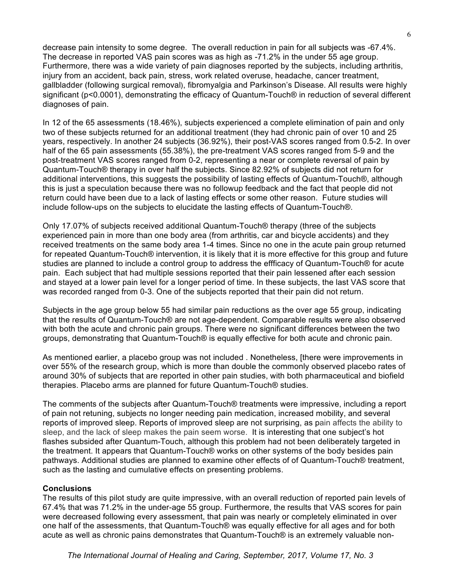decrease pain intensity to some degree. The overall reduction in pain for all subjects was -67.4%. The decrease in reported VAS pain scores was as high as -71.2% in the under 55 age group. Furthermore, there was a wide variety of pain diagnoses reported by the subjects, including arthritis, injury from an accident, back pain, stress, work related overuse, headache, cancer treatment, gallbladder (following surgical removal), fibromyalgia and Parkinson's Disease. All results were highly significant (p<0.0001), demonstrating the efficacy of Quantum-Touch® in reduction of several different diagnoses of pain.

In 12 of the 65 assessments (18.46%), subjects experienced a complete elimination of pain and only two of these subjects returned for an additional treatment (they had chronic pain of over 10 and 25 years, respectively. In another 24 subjects (36.92%), their post-VAS scores ranged from 0.5-2. In over half of the 65 pain assessments (55.38%), the pre-treatment VAS scores ranged from 5-9 and the post-treatment VAS scores ranged from 0-2, representing a near or complete reversal of pain by Quantum-Touch® therapy in over half the subjects. Since 82.92% of subjects did not return for additional interventions, this suggests the possibility of lasting effects of Quantum-Touch®, although this is just a speculation because there was no followup feedback and the fact that people did not return could have been due to a lack of lasting effects or some other reason. Future studies will include follow-ups on the subjects to elucidate the lasting effects of Quantum-Touch®.

Only 17.07% of subjects received additional Quantum-Touch® therapy (three of the subjects experienced pain in more than one body area (from arthritis, car and bicycle accidents) and they received treatments on the same body area 1-4 times. Since no one in the acute pain group returned for repeated Quantum-Touch® intervention, it is likely that it is more effective for this group and future studies are planned to include a control group to address the effficacy of Quantum-Touch® for acute pain. Each subject that had multiple sessions reported that their pain lessened after each session and stayed at a lower pain level for a longer period of time. In these subjects, the last VAS score that was recorded ranged from 0-3. One of the subjects reported that their pain did not return.

Subjects in the age group below 55 had similar pain reductions as the over age 55 group, indicating that the results of Quantum-Touch® are not age-dependent. Comparable results were also observed with both the acute and chronic pain groups. There were no significant differences between the two groups, demonstrating that Quantum-Touch® is equally effective for both acute and chronic pain.

As mentioned earlier, a placebo group was not included . Nonetheless, [there were improvements in over 55% of the research group, which is more than double the commonly observed placebo rates of around 30% of subjects that are reported in other pain studies, with both pharmaceutical and biofield therapies. Placebo arms are planned for future Quantum-Touch® studies.

The comments of the subjects after Quantum-Touch® treatments were impressive, including a report of pain not retuning, subjects no longer needing pain medication, increased mobility, and several reports of improved sleep. Reports of improved sleep are not surprising, as pain affects the ability to sleep, and the lack of sleep makes the pain seem worse. It is interesting that one subject's hot flashes subsided after Quantum-Touch, although this problem had not been deliberately targeted in the treatment. It appears that Quantum-Touch® works on other systems of the body besides pain pathways. Additional studies are planned to examine other effects of of Quantum-Touch® treatment, such as the lasting and cumulative effects on presenting problems.

#### **Conclusions**

The results of this pilot study are quite impressive, with an overall reduction of reported pain levels of 67.4% that was 71.2% in the under-age 55 group. Furthermore, the results that VAS scores for pain were decreased following every assessment, that pain was nearly or completely eliminated in over one half of the assessments, that Quantum-Touch® was equally effective for all ages and for both acute as well as chronic pains demonstrates that Quantum-Touch® is an extremely valuable non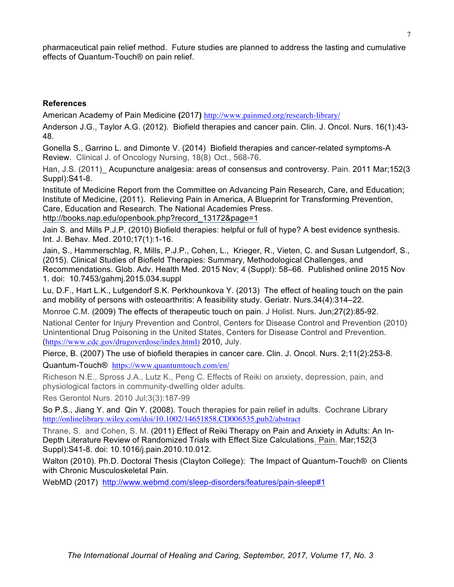pharmaceutical pain relief method. Future studies are planned to address the lasting and cumulative effects of Quantum-Touch® on pain relief.

# **References**

American Academy of Pain Medicine **(**2017**)** http://www.painmed.org/research-library/

Anderson J.G., Taylor A.G. (2012). Biofield therapies and cancer pain. Clin. J. Oncol. Nurs. 16(1):43- 48.

Gonella S., Garrino L. and Dimonte V. (2014) Biofield therapies and cancer-related symptoms-A Review. Clinical J. of Oncology Nursing, 18(8) Oct., 568-76.

Han, J.S. (2011) Acupuncture analgesia: areas of consensus and controversy. Pain. 2011 Mar;152(3) Suppl):S41-8.

Institute of Medicine Report from the Committee on Advancing Pain Research, Care, and Education; Institute of Medicine, (2011). Relieving Pain in America, A Blueprint for Transforming Prevention, Care, Education and Research. The National Academies Press. http://books.nap.edu/openbook.php?record\_13172&page=1

Jain S. and Mills P.J.P. (2010) Biofield therapies: helpful or full of hype? A best evidence synthesis. Int. J. Behav. Med. 2010;17(1):1-16.

Jain, S., Hammerschlag, R, Mills, P.J.P., Cohen, L., Krieger, R., Vieten, C. and Susan Lutgendorf, S., (2015). Clinical Studies of Biofield Therapies: Summary, Methodological Challenges, and Recommendations. Glob. Adv. Health Med. 2015 Nov; 4 (Suppl): 58–66. Published online 2015 Nov 1. doi: 10.7453/gahmj.2015.034.suppl

Lu, D.F., Hart L.K., Lutgendorf S.K. Perkhounkova Y. (2013) The effect of healing touch on the pain and mobility of persons with osteoarthritis: A feasibility study. Geriatr. Nurs.34(4):314–22.

Monroe C.M. (2009) The effects of therapeutic touch on pain. J Holist. Nurs. Jun;27(2):85-92.

National Center for Injury Prevention and Control, Centers for Disease Control and Prevention (2010) Unintentional Drug Poisoning in the United States, Centers for Disease Control and Prevention. (https://www.cdc.gov/drugoverdose/index.html) 2010, July.

Pierce, B. (2007) The use of biofield therapies in cancer care. Clin. J. Oncol. Nurs. 2;11(2):253-8.

Quantum-Touch® https://www.quantumtouch.com/en/

Richeson N.E., Spross J.A., Lutz K., Peng C. Effects of Reiki on anxiety, depression, pain, and physiological factors in community-dwelling older adults.

Res Gerontol Nurs. 2010 Jul;3(3):187-99

So P.S., Jiang Y. and Qin Y. (2008). Touch therapies for pain relief in adults. Cochrane Library http://onlinelibrary.wiley.com/doi/10.1002/14651858.CD006535.pub2/abstract

Thrane, S. and Cohen, S. M. (2011) Effect of Reiki Therapy on Pain and Anxiety in Adults: An In-Depth Literature Review of Randomized Trials with Effect Size Calculations. Pain. Mar;152(3 Suppl):S41-8. doi: 10.1016/j.pain.2010.10.012.

Walton (2010). Ph.D. Doctoral Thesis (Clayton College): The Impact of Quantum-Touch® on Clients with Chronic Musculoskeletal Pain.

WebMD (2017) http://www.webmd.com/sleep-disorders/features/pain-sleep#1